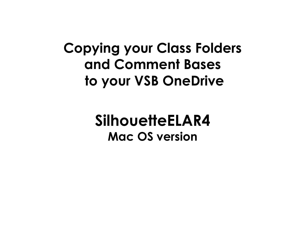## **Copying your Class Folders and Comment Bases to your VSB OneDrive**

## **SilhouetteELAR4 Mac OS version**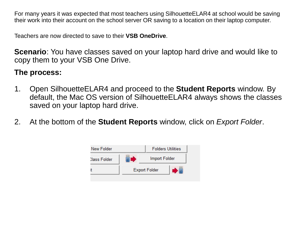For many years it was expected that most teachers using SilhouetteELAR4 at school would be saving their work into their account on the school server OR saving to a location on their laptop computer.

Teachers are now directed to save to their **VSB OneDrive**.

**Scenario**: You have classes saved on your laptop hard drive and would like to copy them to your VSB One Drive.

## **The process:**

- 1. Open SilhouetteELAR4 and proceed to the **Student Reports** window. By default, the Mac OS version of SilhouetteELAR4 always shows the classes saved on your laptop hard drive.
- 2. At the bottom of the **Student Reports** window, click on *Export Folder*.

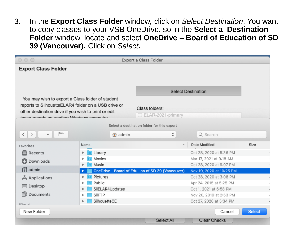3. In the **Export Class Folder** window, click on *Select Destination*. You want to copy classes to your VSB OneDrive, so in the **Select a Destination Folder** window, locate and select **OneDrive – Board of Education of SD 39 (Vancouver).** Click on *Select***.**

| $\circ \circ \circ$                                                   |                   | Export a Class Folder                          |                          |               |  |  |  |
|-----------------------------------------------------------------------|-------------------|------------------------------------------------|--------------------------|---------------|--|--|--|
| <b>Export Class Folder</b>                                            |                   |                                                |                          |               |  |  |  |
|                                                                       |                   |                                                |                          |               |  |  |  |
|                                                                       |                   |                                                |                          |               |  |  |  |
|                                                                       |                   | <b>Select Destination</b>                      |                          |               |  |  |  |
| You may wish to export a Class folder of student                      |                   |                                                |                          |               |  |  |  |
| reports to SilhouetteELAR4 folder on a USB drive or<br>Class folders: |                   |                                                |                          |               |  |  |  |
| other destination drive if you wish to print or edit                  |                   | □ ELAR-2021-primary                            |                          |               |  |  |  |
| those reports on another Windows computer                             |                   |                                                |                          |               |  |  |  |
|                                                                       |                   | Select a destination folder for this export    |                          |               |  |  |  |
| ≡∽<br>$\langle$                                                       | admin             | ≎                                              | Q Search                 |               |  |  |  |
| Favorites                                                             | Name              |                                                | Date Modified            | Size          |  |  |  |
| Recents<br>巪                                                          | Library<br>▶      |                                                | Oct 28, 2020 at 5:36 PM  |               |  |  |  |
| Downloads                                                             | Movies            |                                                | Mar 17, 2021 at 9:18 AM  |               |  |  |  |
|                                                                       | Music             |                                                | Oct 28, 2020 at 9:07 PM  |               |  |  |  |
| ∩ admin                                                               |                   | OneDrive - Board of Eduon of SD 39 (Vancouver) | Nov 19, 2020 at 10:25 PM |               |  |  |  |
| $A$ Applications                                                      | Pictures          |                                                | Oct 28, 2020 at 3:08 PM  |               |  |  |  |
| Desktop                                                               | Public<br>ь       |                                                | Apr 24, 2015 at 5:25 PM  |               |  |  |  |
|                                                                       | SilELAR4Updates   |                                                | Oct 1, 2021 at 6:58 PM   |               |  |  |  |
| Documents<br>m                                                        | SilFTP            |                                                | Nov 20, 2019 at 2:53 PM  |               |  |  |  |
| i                                                                     | SilhouetteCE<br>▶ |                                                | Oct 27, 2020 at 5:34 PM  |               |  |  |  |
| New Folder                                                            |                   |                                                | Cancel                   | <b>Select</b> |  |  |  |
|                                                                       |                   | Select All                                     | <b>Clear Checks</b>      |               |  |  |  |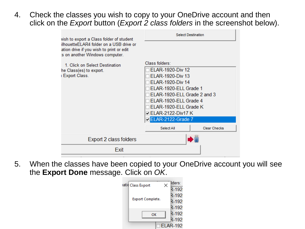4. Check the classes you wish to copy to your OneDrive account and then click on the *Export* button (*Export 2 class folders* in the screenshot below).

| wish to export a Class folder of student                                                                               | <b>Select Destination</b>                                                       |                     |  |
|------------------------------------------------------------------------------------------------------------------------|---------------------------------------------------------------------------------|---------------------|--|
| ilhouetteELAR4 folder on a USB drive or<br>ation drive if you wish to print or edit<br>is on another Windows computer. |                                                                                 |                     |  |
| 1. Click on Select Destination                                                                                         | Class folders:                                                                  |                     |  |
| he Class(es) to export.                                                                                                | <b>ELAR-1920-Div 12</b>                                                         |                     |  |
| I Export Class.                                                                                                        | ELAR-1920-Div 13                                                                |                     |  |
|                                                                                                                        | <b>ELAR-1920-Div 14</b><br>ELAR-1920-ELL Grade 1<br>ELAR-1920-ELL Grade 2 and 3 |                     |  |
|                                                                                                                        |                                                                                 |                     |  |
|                                                                                                                        |                                                                                 |                     |  |
| ELAR-1920-ELL Grade 4                                                                                                  |                                                                                 |                     |  |
|                                                                                                                        | ELAR-1920-ELL Grade K                                                           |                     |  |
|                                                                                                                        | <b>□ ELAR-2122-Div17 K</b>                                                      |                     |  |
|                                                                                                                        | ELAR-2122-Grade 7                                                               |                     |  |
|                                                                                                                        | Select All                                                                      | <b>Clear Checks</b> |  |
| Export 2 class folders                                                                                                 |                                                                                 |                     |  |
| Exit                                                                                                                   |                                                                                 |                     |  |

5. When the classes have been copied to your OneDrive account you will see the **Export Done** message. Click on *OK*.

| iatic Class Export      | lders:          |
|-------------------------|-----------------|
|                         | $R - 192$       |
|                         | R-192           |
| <b>Export Complete.</b> | $R - 192$       |
|                         | R-192           |
| ок                      | R-192           |
|                         | R-192           |
|                         | <b>ELAR-192</b> |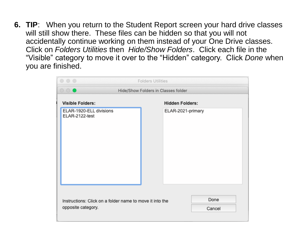**6. TIP**: When you return to the Student Report screen your hard drive classes will still show there. These files can be hidden so that you will not accidentally continue working on them instead of your One Drive classes. Click on *Folders Utilities* then *Hide/Show Folders*. Click each file in the "Visible" category to move it over to the "Hidden" category. Click *Done* when you are finished.

|                                                          | $\circ\circ\circ$                         | <b>Folders Utilities</b>            |  |                        |      |
|----------------------------------------------------------|-------------------------------------------|-------------------------------------|--|------------------------|------|
|                                                          | $\circ \circ \bullet$                     | Hide/Show Folders in Classes folder |  |                        |      |
|                                                          | <b>Visible Folders:</b>                   |                                     |  | <b>Hidden Folders:</b> |      |
|                                                          | ELAR-1920-ELL divisions<br>ELAR-2122-test |                                     |  | ELAR-2021-primary      |      |
| Instructions: Click on a folder name to move it into the |                                           |                                     |  |                        | Done |
| opposite category.                                       |                                           |                                     |  | Cancel                 |      |
|                                                          |                                           |                                     |  |                        |      |